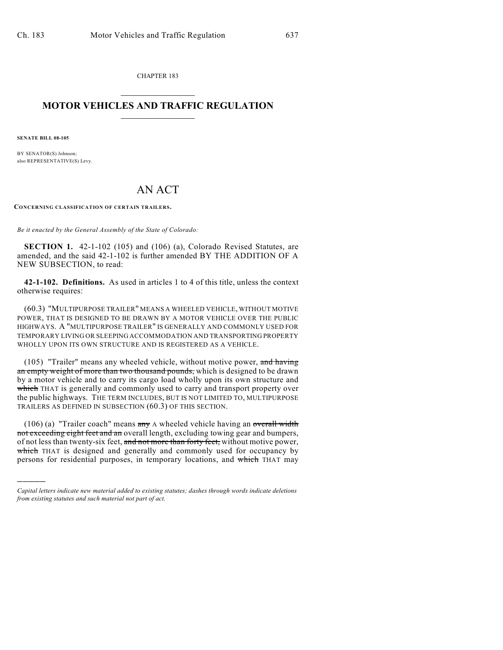CHAPTER 183  $\overline{\phantom{a}}$  . The set of the set of the set of the set of the set of the set of the set of the set of the set of the set of the set of the set of the set of the set of the set of the set of the set of the set of the set o

## **MOTOR VEHICLES AND TRAFFIC REGULATION**  $\frac{1}{2}$  ,  $\frac{1}{2}$  ,  $\frac{1}{2}$  ,  $\frac{1}{2}$  ,  $\frac{1}{2}$  ,  $\frac{1}{2}$  ,  $\frac{1}{2}$  ,  $\frac{1}{2}$

**SENATE BILL 08-105**

)))))

BY SENATOR(S) Johnson; also REPRESENTATIVE(S) Levy.

## AN ACT

**CONCERNING CLASSIFICATION OF CERTAIN TRAILERS.**

*Be it enacted by the General Assembly of the State of Colorado:*

**SECTION 1.** 42-1-102 (105) and (106) (a), Colorado Revised Statutes, are amended, and the said 42-1-102 is further amended BY THE ADDITION OF A NEW SUBSECTION, to read:

**42-1-102. Definitions.** As used in articles 1 to 4 of this title, unless the context otherwise requires:

(60.3) "MULTIPURPOSE TRAILER" MEANS A WHEELED VEHICLE, WITHOUT MOTIVE POWER, THAT IS DESIGNED TO BE DRAWN BY A MOTOR VEHICLE OVER THE PUBLIC HIGHWAYS. A "MULTIPURPOSE TRAILER" IS GENERALLY AND COMMONLY USED FOR TEMPORARY LIVING OR SLEEPING ACCOMMODATION AND TRANSPORTING PROPERTY WHOLLY UPON ITS OWN STRUCTURE AND IS REGISTERED AS A VEHICLE.

(105) "Trailer" means any wheeled vehicle, without motive power, and having an empty weight of more than two thousand pounds, which is designed to be drawn by a motor vehicle and to carry its cargo load wholly upon its own structure and which THAT is generally and commonly used to carry and transport property over the public highways. THE TERM INCLUDES, BUT IS NOT LIMITED TO, MULTIPURPOSE TRAILERS AS DEFINED IN SUBSECTION (60.3) OF THIS SECTION.

(106) (a) "Trailer coach" means  $\frac{a_n}{a_n}$  A wheeled vehicle having an overall width not exceeding eight feet and an overall length, excluding towing gear and bumpers, of not less than twenty-six feet, and not more than forty feet, without motive power, which THAT is designed and generally and commonly used for occupancy by persons for residential purposes, in temporary locations, and which THAT may

*Capital letters indicate new material added to existing statutes; dashes through words indicate deletions from existing statutes and such material not part of act.*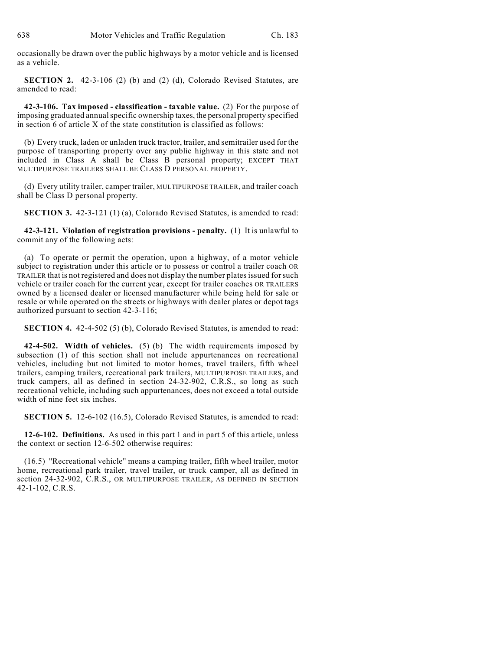occasionally be drawn over the public highways by a motor vehicle and is licensed as a vehicle.

**SECTION 2.** 42-3-106 (2) (b) and (2) (d), Colorado Revised Statutes, are amended to read:

**42-3-106. Tax imposed - classification - taxable value.** (2) For the purpose of imposing graduated annual specific ownership taxes, the personal property specified in section 6 of article X of the state constitution is classified as follows:

(b) Every truck, laden or unladen truck tractor, trailer, and semitrailer used for the purpose of transporting property over any public highway in this state and not included in Class A shall be Class B personal property; EXCEPT THAT MULTIPURPOSE TRAILERS SHALL BE CLASS D PERSONAL PROPERTY.

(d) Every utility trailer, camper trailer, MULTIPURPOSE TRAILER, and trailer coach shall be Class D personal property.

**SECTION 3.** 42-3-121 (1) (a), Colorado Revised Statutes, is amended to read:

**42-3-121. Violation of registration provisions - penalty.** (1) It is unlawful to commit any of the following acts:

(a) To operate or permit the operation, upon a highway, of a motor vehicle subject to registration under this article or to possess or control a trailer coach OR TRAILER that is not registered and does not display the number plates issued for such vehicle or trailer coach for the current year, except for trailer coaches OR TRAILERS owned by a licensed dealer or licensed manufacturer while being held for sale or resale or while operated on the streets or highways with dealer plates or depot tags authorized pursuant to section 42-3-116;

**SECTION 4.** 42-4-502 (5) (b), Colorado Revised Statutes, is amended to read:

**42-4-502. Width of vehicles.** (5) (b) The width requirements imposed by subsection (1) of this section shall not include appurtenances on recreational vehicles, including but not limited to motor homes, travel trailers, fifth wheel trailers, camping trailers, recreational park trailers, MULTIPURPOSE TRAILERS, and truck campers, all as defined in section 24-32-902, C.R.S., so long as such recreational vehicle, including such appurtenances, does not exceed a total outside width of nine feet six inches.

**SECTION 5.** 12-6-102 (16.5), Colorado Revised Statutes, is amended to read:

**12-6-102. Definitions.** As used in this part 1 and in part 5 of this article, unless the context or section 12-6-502 otherwise requires:

(16.5) "Recreational vehicle" means a camping trailer, fifth wheel trailer, motor home, recreational park trailer, travel trailer, or truck camper, all as defined in section 24-32-902, C.R.S., OR MULTIPURPOSE TRAILER, AS DEFINED IN SECTION 42-1-102, C.R.S.